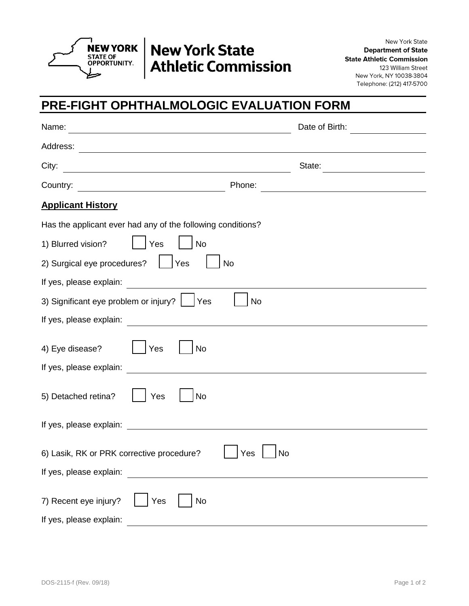

## **TREW YORK | New York State Athletic Commission**

New York State **Department of State State Athletic Commission** 123 William Street New York, NY 10038-3804 Telephone: (212) 417-5700

## **PRE-FIGHT OPHTHALMOLOGIC EVALUATION FORM**

| Name:<br>the control of the control of the control of the control of the control of the control of                                                                                                                                   | Date of Birth:                                                                                                       |
|--------------------------------------------------------------------------------------------------------------------------------------------------------------------------------------------------------------------------------------|----------------------------------------------------------------------------------------------------------------------|
| Address:                                                                                                                                                                                                                             |                                                                                                                      |
| City:<br><u> 1980 - Johann Barbara, martxa eta idazlea (h. 1980).</u>                                                                                                                                                                | State:                                                                                                               |
| Country:<br>Phone:<br><u> 1980 - Johann Barn, mars eta bainar eta baina eta baina eta baina eta baina eta baina eta baina eta baina e</u>                                                                                            | <u> 1989 - Johann Barn, mars ann an t-Amhain Aonaich an t-Aonaich an t-Aonaich ann an t-Aonaich ann an t-Aonaich</u> |
| <b>Applicant History</b>                                                                                                                                                                                                             |                                                                                                                      |
| Has the applicant ever had any of the following conditions?                                                                                                                                                                          |                                                                                                                      |
| 1) Blurred vision?<br>Yes<br><b>No</b>                                                                                                                                                                                               |                                                                                                                      |
| 2) Surgical eye procedures?<br> Yes<br><b>No</b>                                                                                                                                                                                     |                                                                                                                      |
| If yes, please explain:                                                                                                                                                                                                              |                                                                                                                      |
| 3) Significant eye problem or injury?<br><b>No</b><br> Yes                                                                                                                                                                           |                                                                                                                      |
|                                                                                                                                                                                                                                      |                                                                                                                      |
| 4) Eye disease?<br>Yes<br>No                                                                                                                                                                                                         |                                                                                                                      |
| If yes, please explain:                                                                                                                                                                                                              |                                                                                                                      |
| 5) Detached retina?<br>No<br>Yes                                                                                                                                                                                                     |                                                                                                                      |
| If yes, please explain: <u>contract the contract of the set of the set of the set of the set of the set of the set of the set of the set of the set of the set of the set of the set of the set of the set of the set of the set</u> |                                                                                                                      |
| 6) Lasik, RK or PRK corrective procedure?<br>Yes<br>If yes, please explain:                                                                                                                                                          | No                                                                                                                   |
| 7) Recent eye injury?<br>Yes<br><b>No</b><br>If yes, please explain:                                                                                                                                                                 |                                                                                                                      |